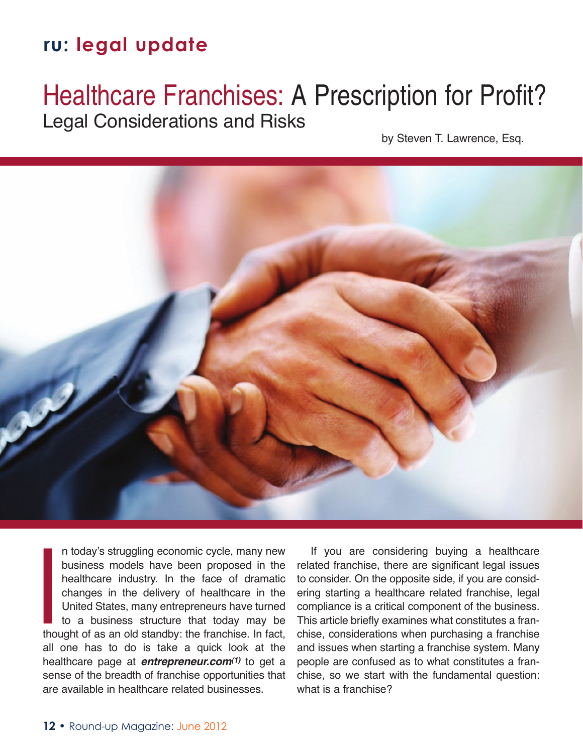# Healthcare Franchises: A Prescription for Profit? Legal Considerations and Risks

by Steven T. Lawrence, Esq.



n today's struggling economic cycle, many new business models have been proposed in the healthcare industry. In the face of dramatic changes in the delivery of healthcare in the United States, many entrepreneurs have turned to a business structure that today may be thought of as an old standby: the franchise. In fact, all one has to do is take a quick look at the healthcare page at *entrepreneur.com(1)* to get a sense of the breadth of franchise opportunities that are available in healthcare related businesses. I<br>I<br>I<br>I<br>I<br>I

If you are considering buying a healthcare related franchise, there are significant legal issues to consider. On the opposite side, if you are considering starting a healthcare related franchise, legal compliance is a critical component of the business. This article briefly examines what constitutes a franchise, considerations when purchasing a franchise and issues when starting a franchise system. Many people are confused as to what constitutes a franchise, so we start with the fundamental question: what is a franchise?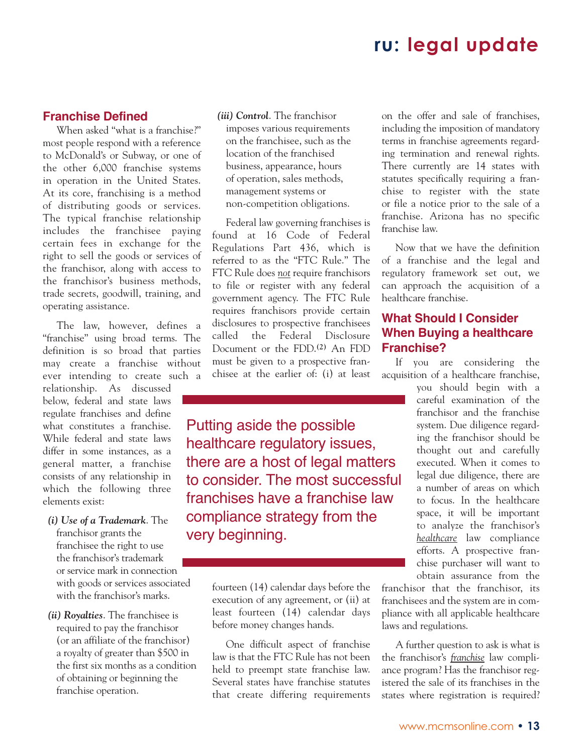### **Franchise Defined**

When asked "what is a franchise?" most people respond with a reference to McDonald's or Subway, or one of the other 6,000 franchise systems in operation in the United States. At its core, franchising is a method of distributing goods or services. The typical franchise relationship includes the franchisee paying certain fees in exchange for the right to sell the goods or services of the franchisor, along with access to the franchisor's business methods, trade secrets, goodwill, training, and operating assistance.

The law, however, defines a "franchise" using broad terms. The definition is so broad that parties may create a franchise without ever intending to create such a

relationship. As discussed below, federal and state laws regulate franchises and define what constitutes a franchise. While federal and state laws differ in some instances, as a general matter, a franchise consists of any relationship in which the following three elements exist:

- *(i) Use of a Trademark*. The franchisor grants the franchisee the right to use the franchisor's trademark or service mark in connection with goods or services associated with the franchisor's marks.
- *(ii) Royalties*. The franchisee is required to pay the franchisor (or an affiliate of the franchisor) a royalty of greater than \$500 in the first six months as a condition of obtaining or beginning the franchise operation.

*(iii) Control*. The franchisor imposes various requirements on the franchisee, such as the location of the franchised business, appearance, hours of operation, sales methods, management systems or non-competition obligations.

Federal law governing franchises is found at 16 Code of Federal Regulations Part 436, which is referred to as the "FTC Rule." The FTC Rule does *not* require franchisors to file or register with any federal government agency. The FTC Rule requires franchisors provide certain disclosures to prospective franchisees called the Federal Disclosure Document or the FDD.**(2)** An FDD must be given to a prospective franchisee at the earlier of: (i) at least

Putting aside the possible healthcare regulatory issues, there are a host of legal matters to consider. The most successful franchises have a franchise law compliance strategy from the very beginning.

> fourteen (14) calendar days before the execution of any agreement, or (ii) at least fourteen (14) calendar days before money changes hands.

> One difficult aspect of franchise law is that the FTC Rule has not been held to preempt state franchise law. Several states have franchise statutes that create differing requirements

on the offer and sale of franchises, including the imposition of mandatory terms in franchise agreements regarding termination and renewal rights. There currently are 14 states with statutes specifically requiring a franchise to register with the state or file a notice prior to the sale of a franchise. Arizona has no specific franchise law.

Now that we have the definition of a franchise and the legal and regulatory framework set out, we can approach the acquisition of a healthcare franchise.

### **What Should I Consider When Buying a healthcare Franchise?**

If you are considering the acquisition of a healthcare franchise,

> you should begin with a careful examination of the franchisor and the franchise system. Due diligence regarding the franchisor should be thought out and carefully executed. When it comes to legal due diligence, there are a number of areas on which to focus. In the healthcare space, it will be important to analyze the franchisor's *healthcare* law compliance efforts. A prospective franchise purchaser will want to obtain assurance from the

franchisor that the franchisor, its franchisees and the system are in compliance with all applicable healthcare laws and regulations.

A further question to ask is what is the franchisor's *franchise* law compliance program? Has the franchisor registered the sale of its franchises in the states where registration is required?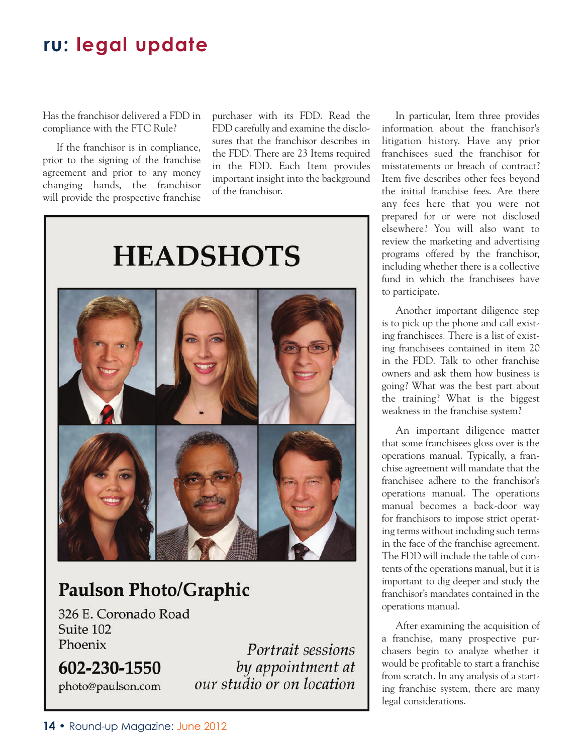Has the franchisor delivered a FDD in compliance with the FTC Rule?

If the franchisor is in compliance, prior to the signing of the franchise agreement and prior to any money changing hands, the franchisor will provide the prospective franchise

purchaser with its FDD. Read the FDD carefully and examine the disclosures that the franchisor describes in the FDD. There are 23 Items required in the FDD. Each Item provides important insight into the background of the franchisor.



## **Paulson Photo/Graphic**

326 E. Coronado Road Suite 102 Phoenix

602-230-1550 photo@paulson.com

Portrait sessions by appointment at our studio or on location

In particular, Item three provides information about the franchisor's litigation history. Have any prior franchisees sued the franchisor for misstatements or breach of contract? Item five describes other fees beyond the initial franchise fees. Are there any fees here that you were not prepared for or were not disclosed elsewhere? You will also want to review the marketing and advertising programs offered by the franchisor, including whether there is a collective fund in which the franchisees have to participate.

Another important diligence step is to pick up the phone and call existing franchisees. There is a list of existing franchisees contained in item 20 in the FDD. Talk to other franchise owners and ask them how business is going? What was the best part about the training? What is the biggest weakness in the franchise system?

An important diligence matter that some franchisees gloss over is the operations manual. Typically, a franchise agreement will mandate that the franchisee adhere to the franchisor's operations manual. The operations manual becomes a back-door way for franchisors to impose strict operating terms without including such terms in the face of the franchise agreement. The FDD will include the table of contents of the operations manual, but it is important to dig deeper and study the franchisor's mandates contained in the operations manual.

After examining the acquisition of a franchise, many prospective purchasers begin to analyze whether it would be profitable to start a franchise from scratch. In any analysis of a starting franchise system, there are many legal considerations.